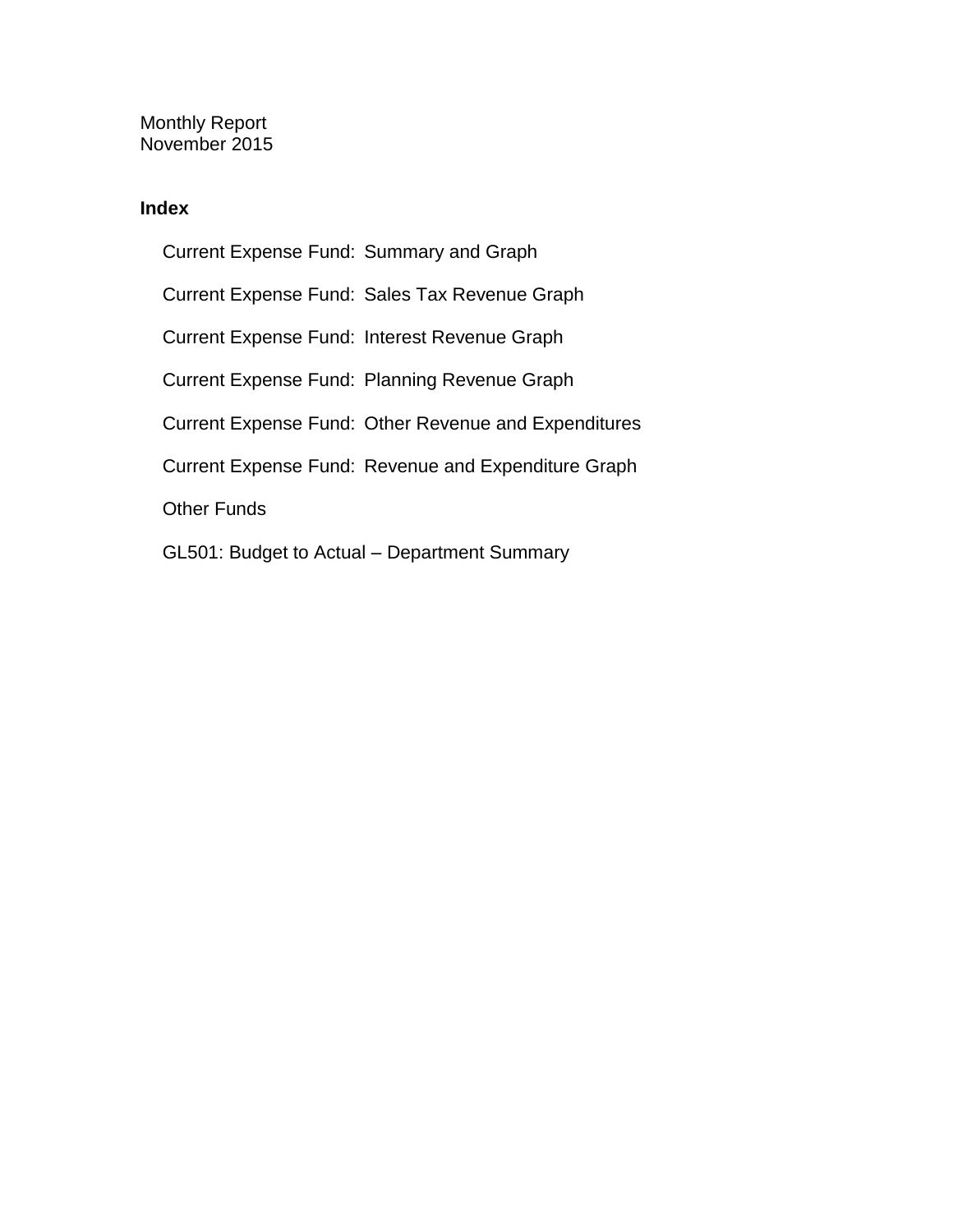Monthly Report November 2015

### **Index**

Current Expense Fund: Summary and Graph Current Expense Fund: Sales Tax Revenue Graph Current Expense Fund: Interest Revenue Graph Current Expense Fund: Planning Revenue Graph Current Expense Fund: Other Revenue and Expenditures Current Expense Fund: Revenue and Expenditure Graph Other Funds GL501: Budget to Actual – Department Summary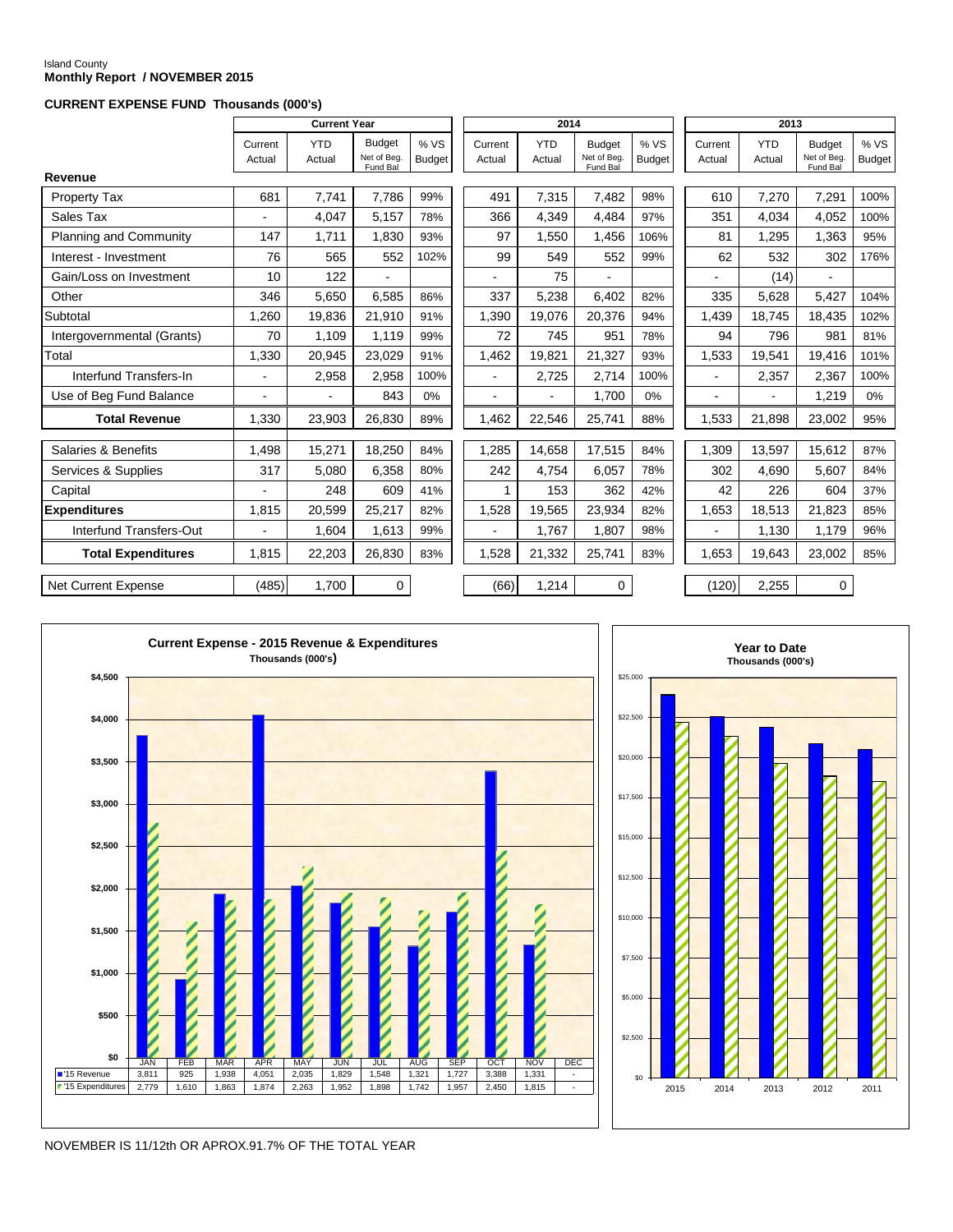# Island County **Monthly Report / NOVEMBER 2015**

#### **CURRENT EXPENSE FUND Thousands (000's)**

|                               |                   | <b>Current Year</b>  |                                          |                       |                   | 2014                 |                                          |                       |                   | 2013                 |                                          |                      |
|-------------------------------|-------------------|----------------------|------------------------------------------|-----------------------|-------------------|----------------------|------------------------------------------|-----------------------|-------------------|----------------------|------------------------------------------|----------------------|
|                               | Current<br>Actual | <b>YTD</b><br>Actual | <b>Budget</b><br>Net of Beg.<br>Fund Bal | % VS<br><b>Budget</b> | Current<br>Actual | <b>YTD</b><br>Actual | <b>Budget</b><br>Net of Beg.<br>Fund Bal | % VS<br><b>Budget</b> | Current<br>Actual | <b>YTD</b><br>Actual | <b>Budget</b><br>Net of Beg.<br>Fund Bal | %VS<br><b>Budget</b> |
| Revenue                       |                   |                      |                                          |                       |                   |                      |                                          |                       |                   |                      |                                          |                      |
| Property Tax                  | 681               | 7,741                | 7,786                                    | 99%                   | 491               | 7,315                | 7,482                                    | 98%                   | 610               | 7,270                | 7,291                                    | 100%                 |
| Sales Tax                     |                   | 4.047                | 5.157                                    | 78%                   | 366               | 4.349                | 4.484                                    | 97%                   | 351               | 4.034                | 4.052                                    | 100%                 |
| <b>Planning and Community</b> | 147               | 1,711                | 1,830                                    | 93%                   | 97                | 1,550                | 1,456                                    | 106%                  | 81                | 1,295                | 1,363                                    | 95%                  |
| Interest - Investment         | 76                | 565                  | 552                                      | 102%                  | 99                | 549                  | 552                                      | 99%                   | 62                | 532                  | 302                                      | 176%                 |
| Gain/Loss on Investment       | 10                | 122                  |                                          |                       |                   | 75                   |                                          |                       |                   | (14)                 |                                          |                      |
| Other                         | 346               | 5,650                | 6,585                                    | 86%                   | 337               | 5,238                | 6,402                                    | 82%                   | 335               | 5,628                | 5,427                                    | 104%                 |
| Subtotal                      | 1,260             | 19,836               | 21,910                                   | 91%                   | 1,390             | 19,076               | 20,376                                   | 94%                   | 1,439             | 18,745               | 18,435                                   | 102%                 |
| Intergovernmental (Grants)    | 70                | 1,109                | 1,119                                    | 99%                   | 72                | 745                  | 951                                      | 78%                   | 94                | 796                  | 981                                      | 81%                  |
| Total                         | 1,330             | 20,945               | 23,029                                   | 91%                   | 1,462             | 19,821               | 21,327                                   | 93%                   | 1,533             | 19,541               | 19,416                                   | 101%                 |
| Interfund Transfers-In        | $\blacksquare$    | 2,958                | 2,958                                    | 100%                  | ä,                | 2,725                | 2,714                                    | 100%                  | $\blacksquare$    | 2,357                | 2,367                                    | 100%                 |
| Use of Beg Fund Balance       |                   |                      | 843                                      | 0%                    | ÷                 | ÷.                   | 1,700                                    | 0%                    | $\overline{a}$    |                      | 1,219                                    | $0\%$                |
| <b>Total Revenue</b>          | 1,330             | 23,903               | 26,830                                   | 89%                   | 1,462             | 22,546               | 25,741                                   | 88%                   | 1,533             | 21,898               | 23,002                                   | 95%                  |
| Salaries & Benefits           | 1,498             | 15,271               | 18,250                                   | 84%                   | 1,285             | 14,658               | 17,515                                   | 84%                   | 1,309             | 13,597               | 15,612                                   | 87%                  |
|                               |                   |                      |                                          |                       |                   |                      |                                          |                       |                   |                      |                                          |                      |
| Services & Supplies           | 317               | 5,080                | 6,358                                    | 80%                   | 242               | 4,754                | 6,057                                    | 78%                   | 302               | 4,690                | 5,607                                    | 84%                  |
| Capital                       |                   | 248                  | 609                                      | 41%                   | 1                 | 153                  | 362                                      | 42%                   | 42                | 226                  | 604                                      | 37%                  |
| <b>Expenditures</b>           | 1,815             | 20,599               | 25,217                                   | 82%                   | 1,528             | 19,565               | 23,934                                   | 82%                   | 1,653             | 18.513               | 21,823                                   | 85%                  |
| Interfund Transfers-Out       |                   | 1,604                | 1.613                                    | 99%                   |                   | 1,767                | 1,807                                    | 98%                   |                   | 1,130                | 1,179                                    | 96%                  |
| <b>Total Expenditures</b>     | 1,815             | 22,203               | 26,830                                   | 83%                   | 1,528             | 21,332               | 25,741                                   | 83%                   | 1.653             | 19,643               | 23,002                                   | 85%                  |
| <b>Net Current Expense</b>    | (485)             | 1,700                | $\mathbf 0$                              |                       | (66)              | 1,214                | $\mathbf 0$                              |                       | (120)             | 2,255                | 0                                        |                      |





NOVEMBER IS 11/12th OR APROX.91.7% OF THE TOTAL YEAR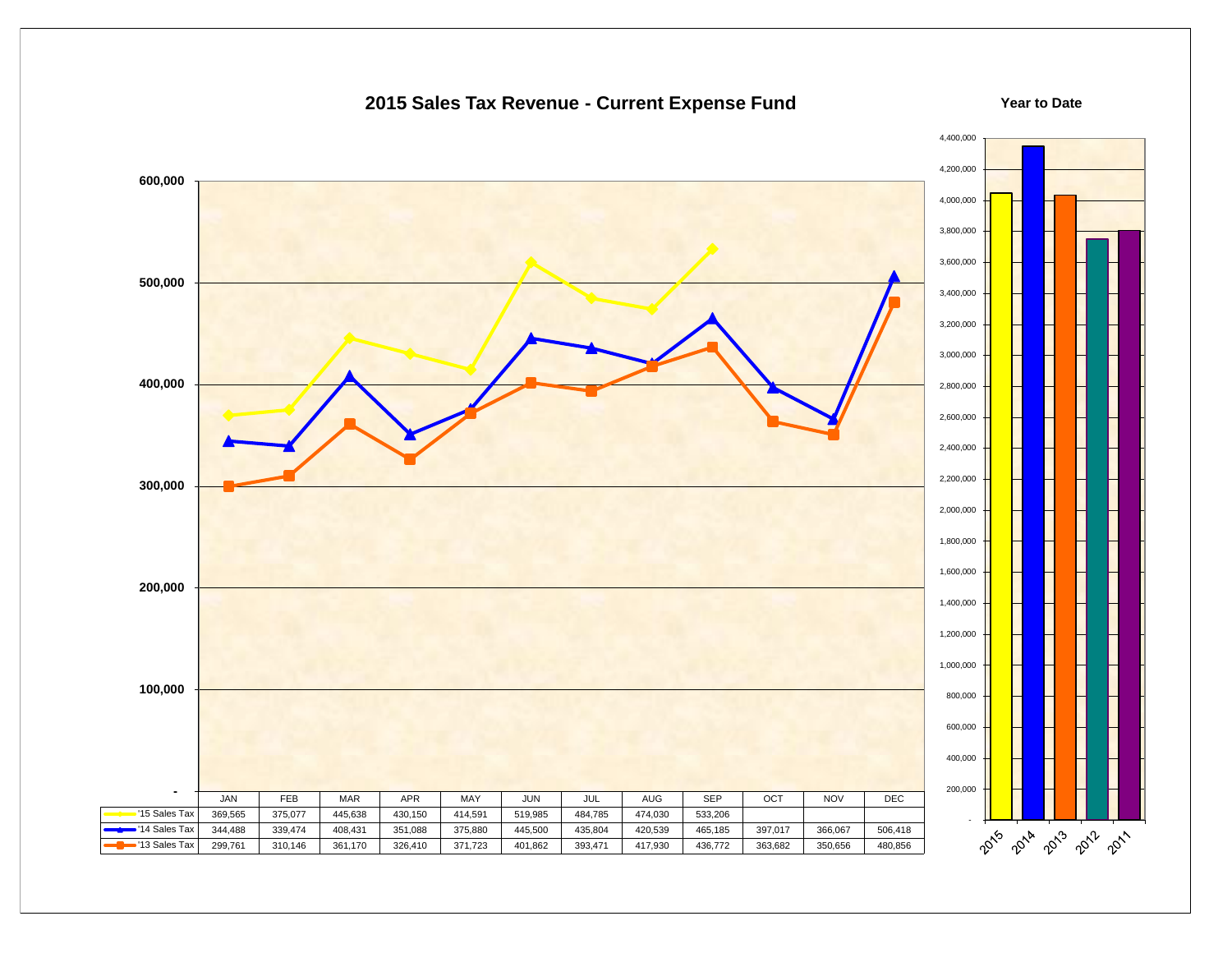#### 4,400,000 4,200,000  **600,000** 4,000,000 3,800,000 3,600,000  **500,000** 3,400,000 3,200,000 3,000,000  **400,000** 2,800,000 2,600,000 2,400,000 2,200,000  **300,000** 2,000,000 1,800,000 1,600,000  **200,000** 1,400,000 1,200,000 1,000,000  **100,000** 800,000 600,000 400,000 200,000  **-** JAN | FEB | MAR | APR | MAY | JUN | JUL | AUG | SEP | OCT | NOV | DEC '15 Sales Tax | 369,565 | 375,077 | 445,638 | 430,150 | 414,591 | 519,985 | 484,785 | 474,030 | 533,206 - '14 Sales Tax | 344,488 | 339,474 | 408,431 | 351,088 | 375,880 | 445,500 | 435,804 | 420,539 | 465,185 | 397,017 | 366,067 | 506,418 2015 - 2018 - 2019 - 2017 '13 Sales Tax | 299,761 | 310,146 | 361,170 | 326,410 | 371,723 | 401,862 | 393,471 | 417,930 | 436,772 | 363,682 | 350,656 | 480,856

#### **2015 Sales Tax Revenue - Current Expense Fund**

**Year to Date**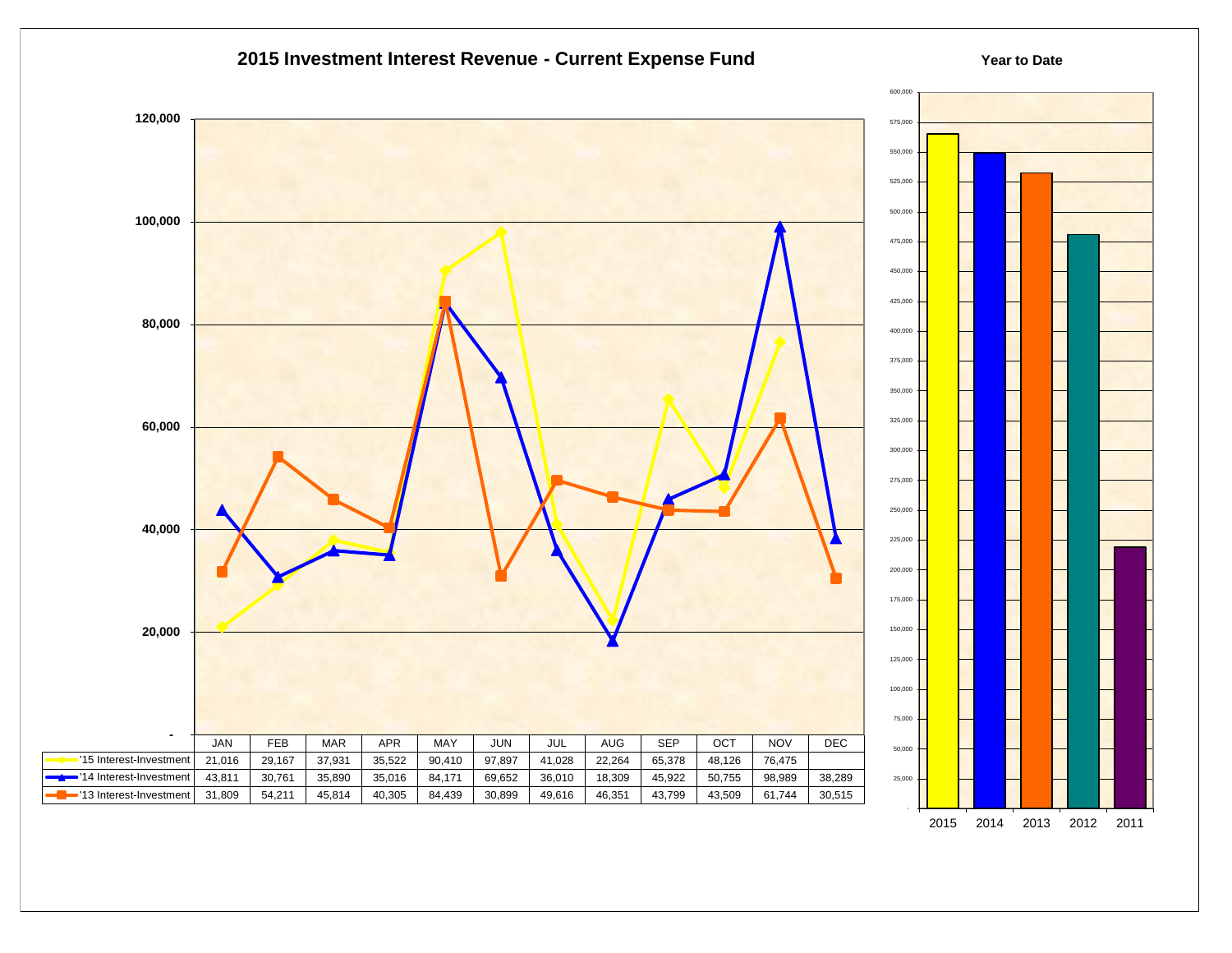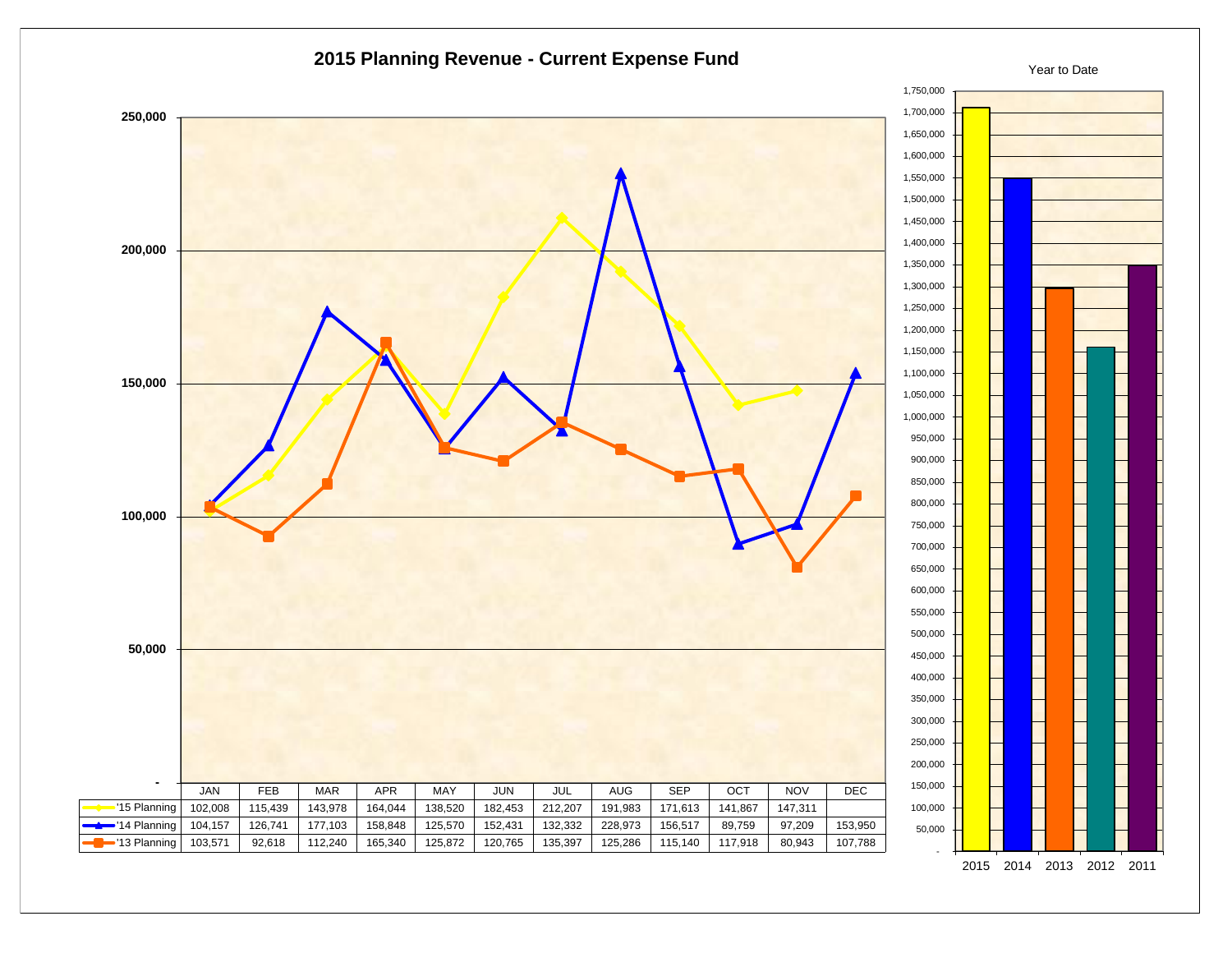

<sup>2015</sup> 2014 2013 2012 2011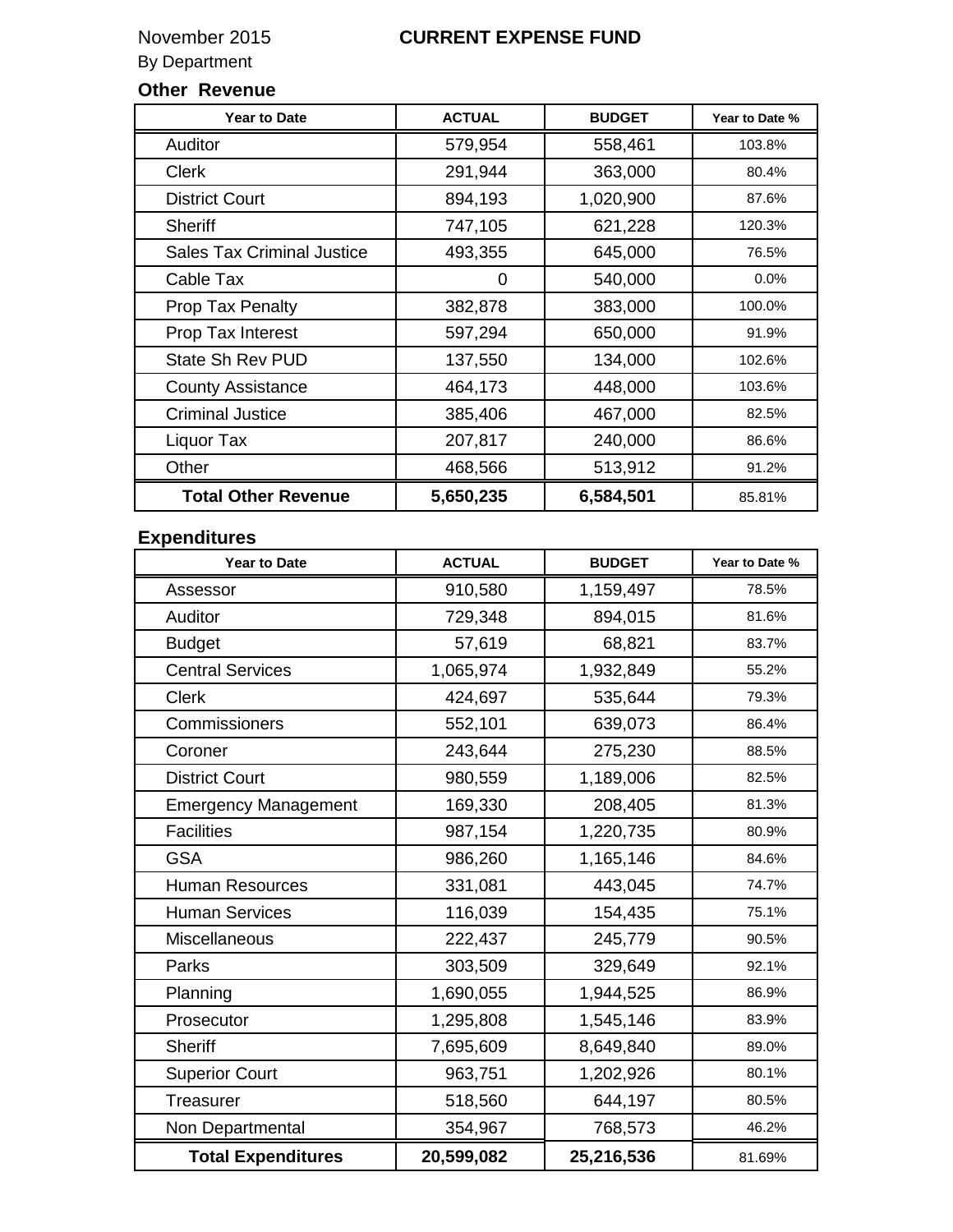### By Department

### **Other Revenue**

| <b>Year to Date</b>               | <b>ACTUAL</b> | <b>BUDGET</b> | Year to Date % |
|-----------------------------------|---------------|---------------|----------------|
| <b>Auditor</b>                    | 579,954       | 558,461       | 103.8%         |
| <b>Clerk</b>                      | 291,944       | 363,000       | 80.4%          |
| <b>District Court</b>             | 894,193       | 1,020,900     | 87.6%          |
| Sheriff                           | 747,105       | 621,228       | 120.3%         |
| <b>Sales Tax Criminal Justice</b> | 493,355       | 645,000       | 76.5%          |
| Cable Tax                         | 0             | 540,000       | 0.0%           |
| Prop Tax Penalty                  | 382,878       | 383,000       | 100.0%         |
| Prop Tax Interest                 | 597,294       | 650,000       | 91.9%          |
| <b>State Sh Rev PUD</b>           | 137,550       | 134,000       | 102.6%         |
| <b>County Assistance</b>          | 464,173       | 448,000       | 103.6%         |
| <b>Criminal Justice</b>           | 385,406       | 467,000       | 82.5%          |
| Liquor Tax                        | 207,817       | 240,000       | 86.6%          |
| Other                             | 468,566       | 513,912       | 91.2%          |
| <b>Total Other Revenue</b>        | 5,650,235     | 6,584,501     | 85.81%         |

### **Expenditures**

| <b>Year to Date</b>         | <b>ACTUAL</b> | <b>BUDGET</b> | Year to Date % |
|-----------------------------|---------------|---------------|----------------|
| Assessor                    | 910,580       | 1,159,497     | 78.5%          |
| Auditor                     | 729,348       | 894,015       | 81.6%          |
| <b>Budget</b>               | 57,619        | 68,821        | 83.7%          |
| <b>Central Services</b>     | 1,065,974     | 1,932,849     | 55.2%          |
| <b>Clerk</b>                | 424,697       | 535,644       | 79.3%          |
| Commissioners               | 552,101       | 639,073       | 86.4%          |
| Coroner                     | 243,644       | 275,230       | 88.5%          |
| <b>District Court</b>       | 980,559       | 1,189,006     | 82.5%          |
| <b>Emergency Management</b> | 169,330       | 208,405       | 81.3%          |
| <b>Facilities</b>           | 987,154       | 1,220,735     | 80.9%          |
| <b>GSA</b>                  | 986,260       | 1,165,146     | 84.6%          |
| <b>Human Resources</b>      | 331,081       | 443,045       | 74.7%          |
| <b>Human Services</b>       | 116,039       | 154,435       | 75.1%          |
| <b>Miscellaneous</b>        | 222,437       | 245,779       | 90.5%          |
| Parks                       | 303,509       | 329,649       | 92.1%          |
| Planning                    | 1,690,055     | 1,944,525     | 86.9%          |
| Prosecutor                  | 1,295,808     | 1,545,146     | 83.9%          |
| <b>Sheriff</b>              | 7,695,609     | 8,649,840     | 89.0%          |
| <b>Superior Court</b>       | 963,751       | 1,202,926     | 80.1%          |
| Treasurer                   | 518,560       | 644,197       | 80.5%          |
| Non Departmental            | 354,967       | 768,573       | 46.2%          |
| <b>Total Expenditures</b>   | 20,599,082    | 25,216,536    | 81.69%         |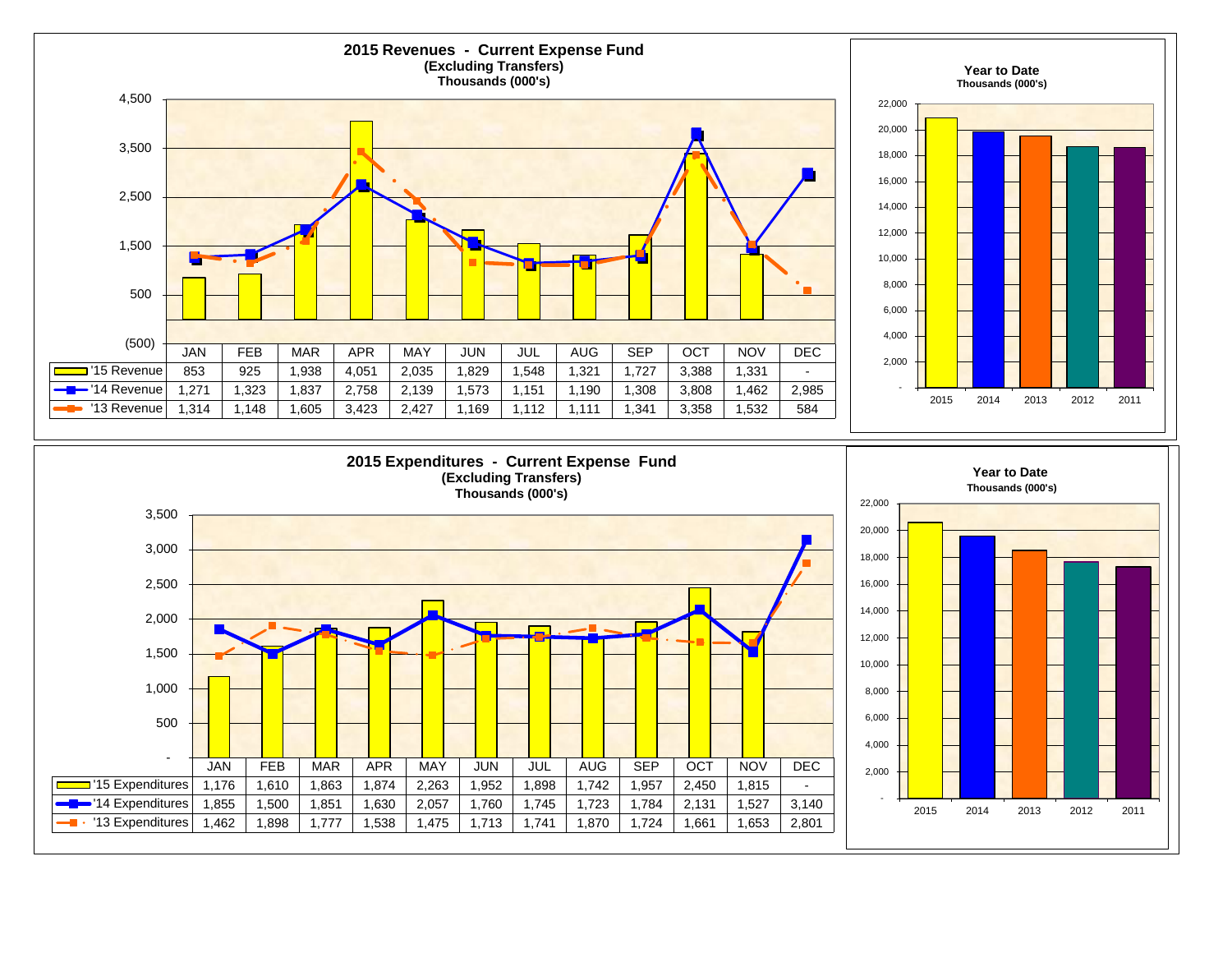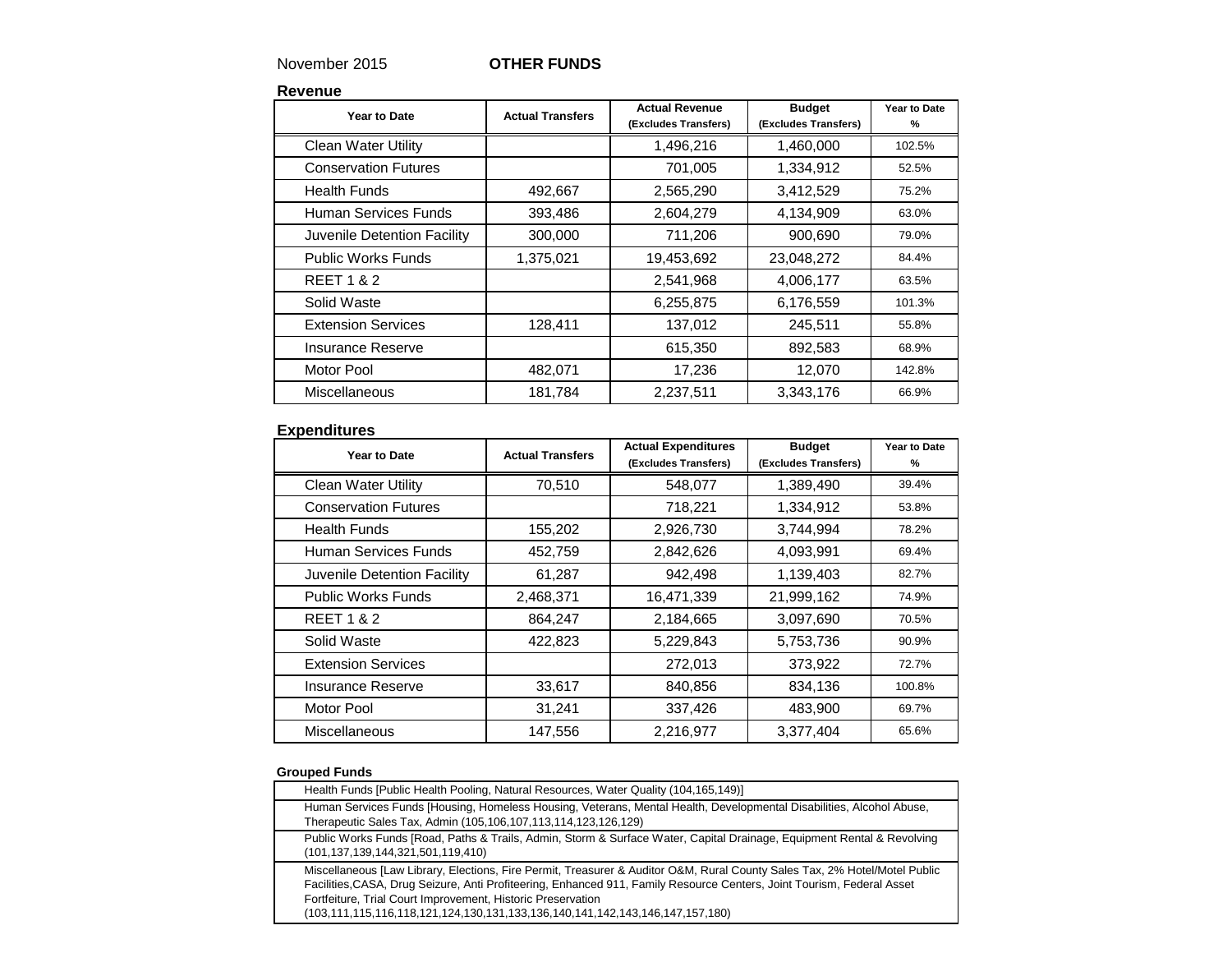### November 2015 **OTHER FUNDS**

**Revenue**

| Year to Date                | <b>Actual Transfers</b> | <b>Actual Revenue</b><br>(Excludes Transfers) | <b>Budget</b><br>(Excludes Transfers) | Year to Date<br>% |
|-----------------------------|-------------------------|-----------------------------------------------|---------------------------------------|-------------------|
| <b>Clean Water Utility</b>  |                         | 1,496,216                                     | 1,460,000                             | 102.5%            |
| <b>Conservation Futures</b> |                         | 701,005                                       | 1,334,912                             | 52.5%             |
| <b>Health Funds</b>         | 492,667                 | 2,565,290                                     | 3,412,529                             | 75.2%             |
| Human Services Funds        | 393,486                 | 2,604,279                                     | 4,134,909                             | 63.0%             |
| Juvenile Detention Facility | 300,000                 | 711,206                                       | 900,690                               | 79.0%             |
| <b>Public Works Funds</b>   | 1,375,021               | 19,453,692                                    | 23,048,272                            | 84.4%             |
| <b>REET 1 &amp; 2</b>       |                         | 2,541,968                                     | 4,006,177                             | 63.5%             |
| Solid Waste                 |                         | 6,255,875                                     | 6,176,559                             | 101.3%            |
| <b>Extension Services</b>   | 128,411                 | 137,012                                       | 245,511                               | 55.8%             |
| Insurance Reserve           |                         | 615,350                                       | 892,583                               | 68.9%             |
| <b>Motor Pool</b>           | 482,071                 | 17,236                                        | 12,070                                | 142.8%            |
| Miscellaneous               | 181,784                 | 2,237,511                                     | 3,343,176                             | 66.9%             |

#### **Expenditures**

| Year to Date                | <b>Actual Transfers</b> | <b>Actual Expenditures</b><br>(Excludes Transfers) | <b>Budget</b><br>(Excludes Transfers) | Year to Date<br>% |
|-----------------------------|-------------------------|----------------------------------------------------|---------------------------------------|-------------------|
| <b>Clean Water Utility</b>  | 70,510                  | 548,077                                            | 1,389,490                             | 39.4%             |
| <b>Conservation Futures</b> |                         | 718,221                                            | 1,334,912                             | 53.8%             |
| <b>Health Funds</b>         | 155,202                 | 2,926,730                                          | 3,744,994                             | 78.2%             |
| Human Services Funds        | 452,759                 | 2,842,626                                          | 4,093,991                             | 69.4%             |
| Juvenile Detention Facility | 61,287                  | 942,498                                            | 1,139,403                             | 82.7%             |
| <b>Public Works Funds</b>   | 2,468,371               | 16,471,339                                         | 21,999,162                            | 74.9%             |
| <b>REET 1 &amp; 2</b>       | 864,247                 | 2,184,665                                          | 3,097,690                             | 70.5%             |
| Solid Waste                 | 422,823                 | 5,229,843                                          | 5,753,736                             | 90.9%             |
| <b>Extension Services</b>   |                         | 272,013                                            | 373,922                               | 72.7%             |
| Insurance Reserve           | 33,617                  | 840,856                                            | 834,136                               | 100.8%            |
| Motor Pool                  | 31,241                  | 337,426                                            | 483,900                               | 69.7%             |
| <b>Miscellaneous</b>        | 147,556                 | 2,216,977                                          | 3,377,404                             | 65.6%             |

#### **Grouped Funds**

| Health Funds [Public Health Pooling, Natural Resources, Water Quality (104,165,149)]                                                                                                                                                                                                                                                                                                                 |
|------------------------------------------------------------------------------------------------------------------------------------------------------------------------------------------------------------------------------------------------------------------------------------------------------------------------------------------------------------------------------------------------------|
| Human Services Funds [Housing, Homeless Housing, Veterans, Mental Health, Developmental Disabilities, Alcohol Abuse,<br>Therapeutic Sales Tax, Admin (105,106,107,113,114,123,126,129)                                                                                                                                                                                                               |
| Public Works Funds [Road, Paths & Trails, Admin, Storm & Surface Water, Capital Drainage, Equipment Rental & Revolving<br>(101,137,139,144,321,501,119,410)                                                                                                                                                                                                                                          |
| Miscellaneous [Law Library, Elections, Fire Permit, Treasurer & Auditor O&M, Rural County Sales Tax, 2% Hotel/Motel Public<br>Facilities, CASA, Drug Seizure, Anti Profiteering, Enhanced 911, Family Resource Centers, Joint Tourism, Federal Asset<br>Fortfeiture, Trial Court Improvement, Historic Preservation<br>(103,111,115,116,118,121,124,130,131,133,136,140,141,142,143,146,147,157,180) |
|                                                                                                                                                                                                                                                                                                                                                                                                      |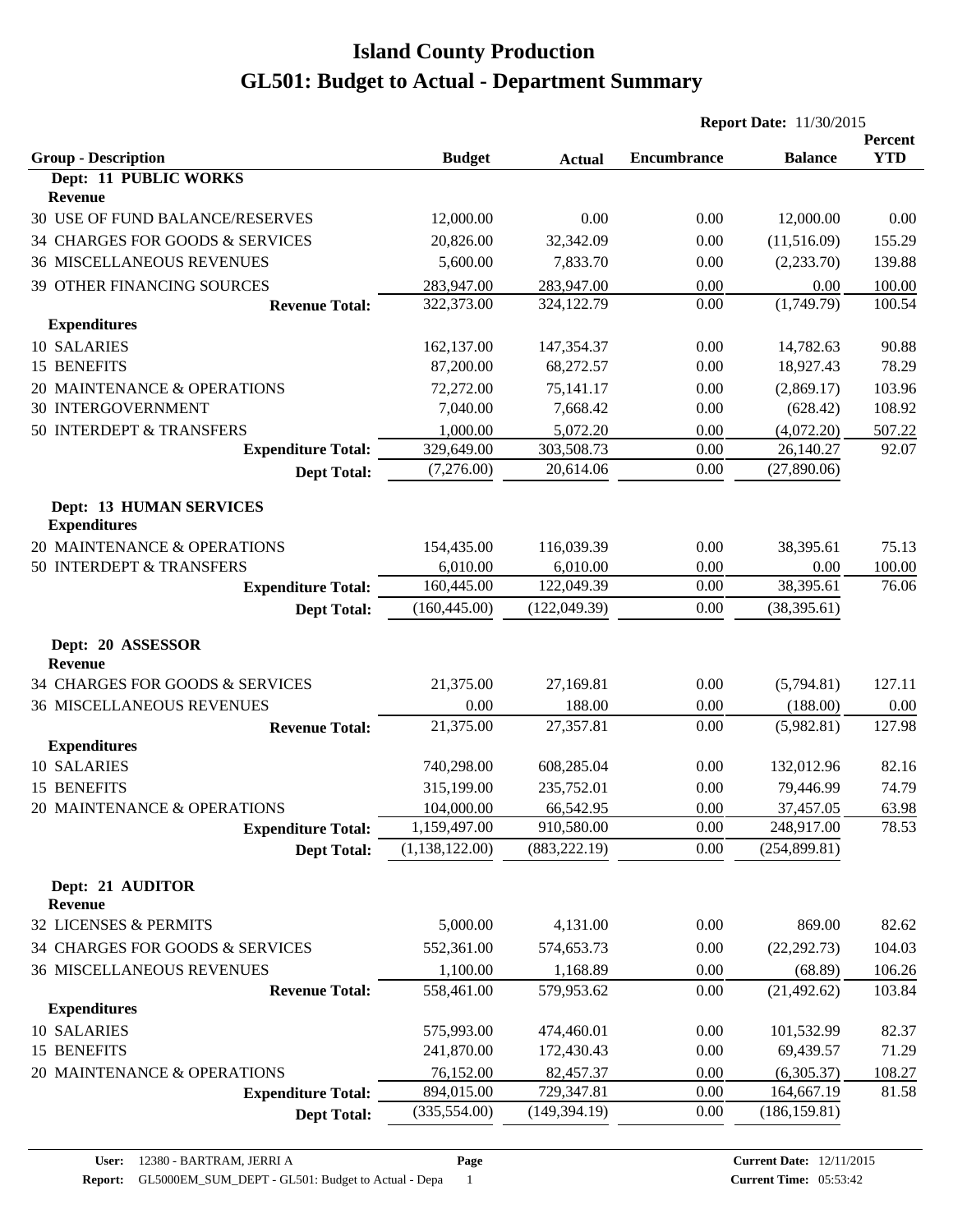|                                                       |                  |               | <b>Report Date: 11/30/2015</b> |                |                       |
|-------------------------------------------------------|------------------|---------------|--------------------------------|----------------|-----------------------|
| <b>Group - Description</b>                            | <b>Budget</b>    | <b>Actual</b> | <b>Encumbrance</b>             | <b>Balance</b> | Percent<br><b>YTD</b> |
| Dept: 11 PUBLIC WORKS                                 |                  |               |                                |                |                       |
| Revenue                                               |                  |               |                                |                |                       |
| 30 USE OF FUND BALANCE/RESERVES                       | 12,000.00        | 0.00          | 0.00                           | 12,000.00      | 0.00                  |
| 34 CHARGES FOR GOODS & SERVICES                       | 20,826.00        | 32,342.09     | 0.00                           | (11,516.09)    | 155.29                |
| <b>36 MISCELLANEOUS REVENUES</b>                      | 5,600.00         | 7,833.70      | 0.00                           | (2, 233.70)    | 139.88                |
| 39 OTHER FINANCING SOURCES                            | 283,947.00       | 283,947.00    | 0.00                           | 0.00           | 100.00                |
| <b>Revenue Total:</b>                                 | 322,373.00       | 324,122.79    | 0.00                           | (1,749.79)     | 100.54                |
| <b>Expenditures</b>                                   |                  |               |                                |                |                       |
| 10 SALARIES                                           | 162,137.00       | 147,354.37    | 0.00                           | 14,782.63      | 90.88                 |
| 15 BENEFITS                                           | 87,200.00        | 68,272.57     | 0.00                           | 18,927.43      | 78.29                 |
| 20 MAINTENANCE & OPERATIONS                           | 72,272.00        | 75,141.17     | 0.00                           | (2,869.17)     | 103.96                |
| 30 INTERGOVERNMENT                                    | 7,040.00         | 7,668.42      | 0.00                           | (628.42)       | 108.92                |
| 50 INTERDEPT & TRANSFERS                              | 1,000.00         | 5,072.20      | 0.00                           | (4,072.20)     | 507.22                |
| <b>Expenditure Total:</b>                             | 329,649.00       | 303,508.73    | 0.00                           | 26,140.27      | 92.07                 |
| <b>Dept Total:</b>                                    | (7,276.00)       | 20,614.06     | 0.00                           | (27,890.06)    |                       |
| <b>Dept: 13 HUMAN SERVICES</b><br><b>Expenditures</b> |                  |               |                                |                |                       |
| 20 MAINTENANCE & OPERATIONS                           | 154,435.00       | 116,039.39    | 0.00                           | 38,395.61      | 75.13                 |
| 50 INTERDEPT & TRANSFERS                              | 6,010.00         | 6,010.00      | 0.00                           | 0.00           | 100.00                |
| <b>Expenditure Total:</b>                             | 160,445.00       | 122,049.39    | 0.00                           | 38,395.61      | 76.06                 |
| <b>Dept Total:</b>                                    | (160, 445.00)    | (122, 049.39) | 0.00                           | (38, 395.61)   |                       |
| Dept: 20 ASSESSOR<br><b>Revenue</b>                   |                  |               |                                |                |                       |
| 34 CHARGES FOR GOODS & SERVICES                       | 21,375.00        | 27,169.81     | 0.00                           | (5,794.81)     | 127.11                |
| <b>36 MISCELLANEOUS REVENUES</b>                      | 0.00             | 188.00        | 0.00                           | (188.00)       | 0.00                  |
| <b>Revenue Total:</b>                                 | 21,375.00        | 27,357.81     | 0.00                           | (5,982.81)     | 127.98                |
| <b>Expenditures</b>                                   |                  |               |                                |                |                       |
| 10 SALARIES                                           | 740,298.00       | 608,285.04    | 0.00                           | 132,012.96     | 82.16                 |
| 15 BENEFITS                                           | 315,199.00       | 235,752.01    | 0.00                           | 79,446.99      | 74.79                 |
| 20 MAINTENANCE & OPERATIONS                           | 104,000.00       | 66,542.95     | 0.00                           | 37,457.05      | 63.98                 |
| <b>Expenditure Total:</b>                             | 1,159,497.00     | 910,580.00    | 0.00                           | 248,917.00     | 78.53                 |
| <b>Dept Total:</b>                                    | (1, 138, 122.00) | (883, 222.19) | 0.00                           | (254, 899.81)  |                       |
| Dept: 21 AUDITOR<br><b>Revenue</b>                    |                  |               |                                |                |                       |
| 32 LICENSES & PERMITS                                 | 5,000.00         | 4,131.00      | 0.00                           | 869.00         | 82.62                 |
| 34 CHARGES FOR GOODS & SERVICES                       | 552,361.00       | 574,653.73    | 0.00                           | (22, 292.73)   | 104.03                |
| 36 MISCELLANEOUS REVENUES                             | 1,100.00         | 1,168.89      | 0.00                           | (68.89)        | 106.26                |
| <b>Revenue Total:</b>                                 | 558,461.00       | 579,953.62    | 0.00                           | (21, 492.62)   | 103.84                |
| <b>Expenditures</b>                                   |                  |               |                                |                |                       |
| 10 SALARIES                                           | 575,993.00       | 474,460.01    | 0.00                           | 101,532.99     | 82.37                 |
| 15 BENEFITS                                           | 241,870.00       | 172,430.43    | 0.00                           | 69,439.57      | 71.29                 |
| 20 MAINTENANCE & OPERATIONS                           | 76,152.00        | 82,457.37     | 0.00                           | (6,305.37)     | 108.27                |
| <b>Expenditure Total:</b>                             | 894,015.00       | 729,347.81    | 0.00                           | 164,667.19     | 81.58                 |
| <b>Dept Total:</b>                                    | (335, 554.00)    | (149, 394.19) | 0.00                           | (186, 159.81)  |                       |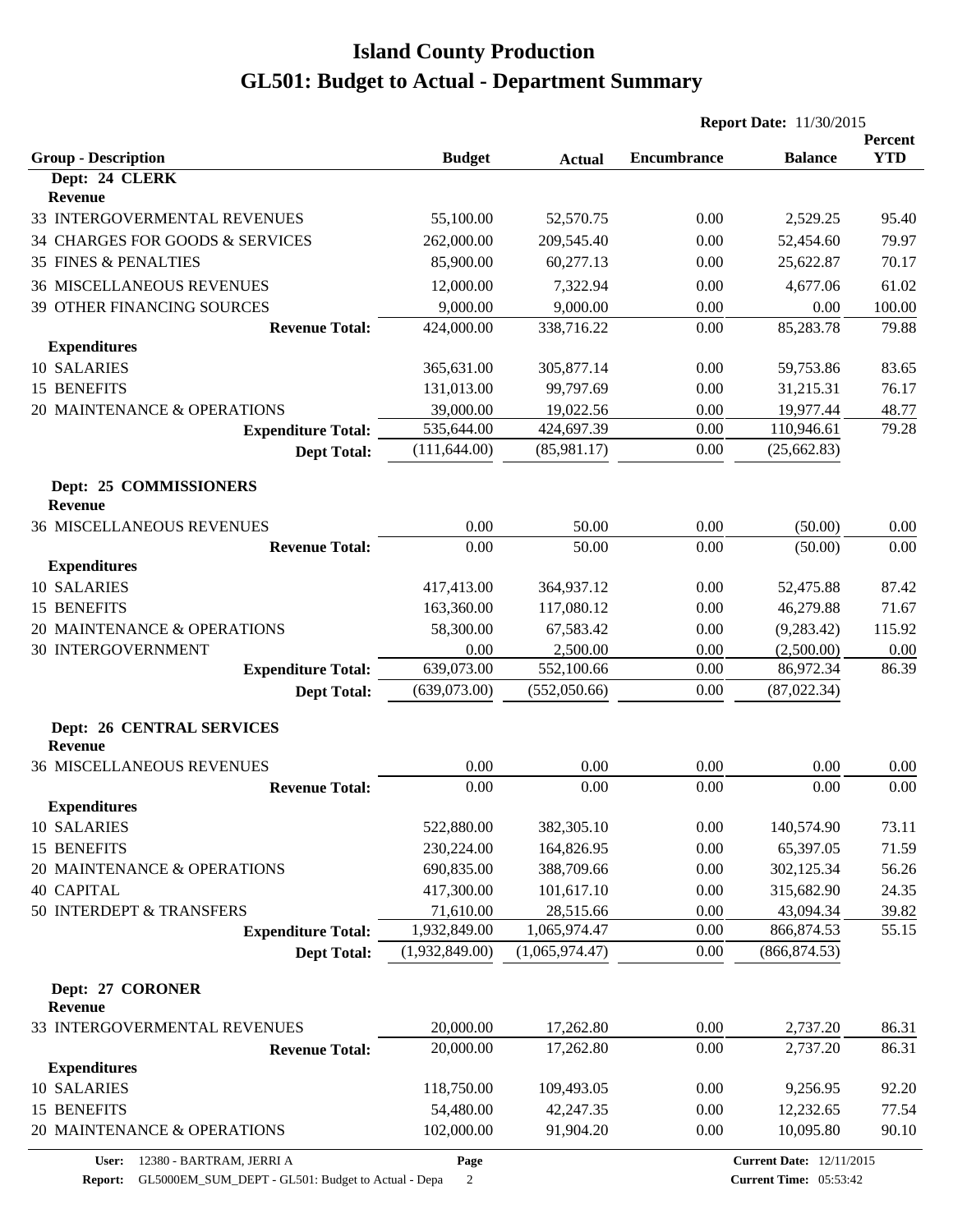|                                                           |                |                | <b>Report Date: 11/30/2015</b> |                |                       |
|-----------------------------------------------------------|----------------|----------------|--------------------------------|----------------|-----------------------|
| <b>Group - Description</b>                                | <b>Budget</b>  | <b>Actual</b>  | <b>Encumbrance</b>             | <b>Balance</b> | Percent<br><b>YTD</b> |
| Dept: 24 CLERK                                            |                |                |                                |                |                       |
| Revenue                                                   |                |                |                                |                |                       |
| 33 INTERGOVERMENTAL REVENUES                              | 55,100.00      | 52,570.75      | 0.00                           | 2,529.25       | 95.40                 |
| 34 CHARGES FOR GOODS & SERVICES                           | 262,000.00     | 209,545.40     | 0.00                           | 52,454.60      | 79.97                 |
| <b>35 FINES &amp; PENALTIES</b>                           | 85,900.00      | 60,277.13      | 0.00                           | 25,622.87      | 70.17                 |
| <b>36 MISCELLANEOUS REVENUES</b>                          | 12,000.00      | 7,322.94       | 0.00                           | 4,677.06       | 61.02                 |
| 39 OTHER FINANCING SOURCES                                | 9,000.00       | 9,000.00       | 0.00                           | 0.00           | 100.00                |
| <b>Revenue Total:</b>                                     | 424,000.00     | 338,716.22     | 0.00                           | 85,283.78      | 79.88                 |
| <b>Expenditures</b>                                       |                |                |                                |                |                       |
| 10 SALARIES                                               | 365,631.00     | 305,877.14     | 0.00                           | 59,753.86      | 83.65                 |
| 15 BENEFITS                                               | 131,013.00     | 99,797.69      | 0.00                           | 31,215.31      | 76.17                 |
| 20 MAINTENANCE & OPERATIONS                               | 39,000.00      | 19,022.56      | 0.00                           | 19,977.44      | 48.77                 |
| <b>Expenditure Total:</b>                                 | 535,644.00     | 424,697.39     | 0.00                           | 110,946.61     | 79.28                 |
| <b>Dept Total:</b>                                        | (111, 644.00)  | (85,981.17)    | 0.00                           | (25, 662.83)   |                       |
| Dept: 25 COMMISSIONERS<br>Revenue                         |                |                |                                |                |                       |
|                                                           |                |                |                                |                |                       |
| <b>36 MISCELLANEOUS REVENUES</b><br><b>Revenue Total:</b> | 0.00<br>0.00   | 50.00<br>50.00 | 0.00<br>0.00                   | (50.00)        | 0.00<br>0.00          |
| <b>Expenditures</b>                                       |                |                |                                | (50.00)        |                       |
| 10 SALARIES                                               | 417,413.00     | 364,937.12     | 0.00                           | 52,475.88      | 87.42                 |
| 15 BENEFITS                                               | 163,360.00     | 117,080.12     | 0.00                           | 46,279.88      | 71.67                 |
| 20 MAINTENANCE & OPERATIONS                               | 58,300.00      | 67,583.42      | 0.00                           | (9, 283.42)    | 115.92                |
| <b>30 INTERGOVERNMENT</b>                                 | 0.00           | 2,500.00       | 0.00                           | (2,500.00)     | 0.00                  |
| <b>Expenditure Total:</b>                                 | 639,073.00     | 552,100.66     | 0.00                           | 86,972.34      | 86.39                 |
| <b>Dept Total:</b>                                        | (639,073.00)   | (552,050.66)   | 0.00                           | (87, 022.34)   |                       |
| <b>Dept: 26 CENTRAL SERVICES</b>                          |                |                |                                |                |                       |
| <b>Revenue</b>                                            |                |                |                                |                |                       |
| <b>36 MISCELLANEOUS REVENUES</b>                          | 0.00           | 0.00           | 0.00                           | 0.00           | 0.00                  |
| <b>Revenue Total:</b>                                     | 0.00           | 0.00           | 0.00                           | 0.00           | 0.00                  |
| <b>Expenditures</b>                                       |                |                |                                |                |                       |
| 10 SALARIES                                               | 522,880.00     | 382,305.10     | 0.00                           | 140,574.90     | 73.11                 |
| 15 BENEFITS                                               | 230,224.00     | 164,826.95     | 0.00                           | 65,397.05      | 71.59                 |
| 20 MAINTENANCE & OPERATIONS                               | 690,835.00     | 388,709.66     | 0.00                           | 302,125.34     | 56.26                 |
| <b>40 CAPITAL</b>                                         | 417,300.00     | 101,617.10     | 0.00                           | 315,682.90     | 24.35                 |
| 50 INTERDEPT & TRANSFERS                                  | 71,610.00      | 28,515.66      | 0.00                           | 43,094.34      | 39.82                 |
| <b>Expenditure Total:</b>                                 | 1,932,849.00   | 1,065,974.47   | 0.00                           | 866,874.53     | 55.15                 |
| <b>Dept Total:</b>                                        | (1,932,849.00) | (1,065,974.47) | 0.00                           | (866, 874.53)  |                       |
| Dept: 27 CORONER                                          |                |                |                                |                |                       |
| Revenue                                                   |                |                |                                |                |                       |
| 33 INTERGOVERMENTAL REVENUES                              | 20,000.00      | 17,262.80      | 0.00                           | 2,737.20       | 86.31                 |
| <b>Revenue Total:</b><br><b>Expenditures</b>              | 20,000.00      | 17,262.80      | 0.00                           | 2,737.20       | 86.31                 |
| 10 SALARIES                                               | 118,750.00     | 109,493.05     | 0.00                           | 9,256.95       | 92.20                 |
| 15 BENEFITS                                               | 54,480.00      | 42,247.35      | 0.00                           | 12,232.65      | 77.54                 |
| 20 MAINTENANCE & OPERATIONS                               | 102,000.00     | 91,904.20      | 0.00                           | 10,095.80      | 90.10                 |
|                                                           |                |                |                                |                |                       |

**Report:** GL5000EM\_SUM\_DEPT - GL501: Budget to Actual - Depa 2

**Page**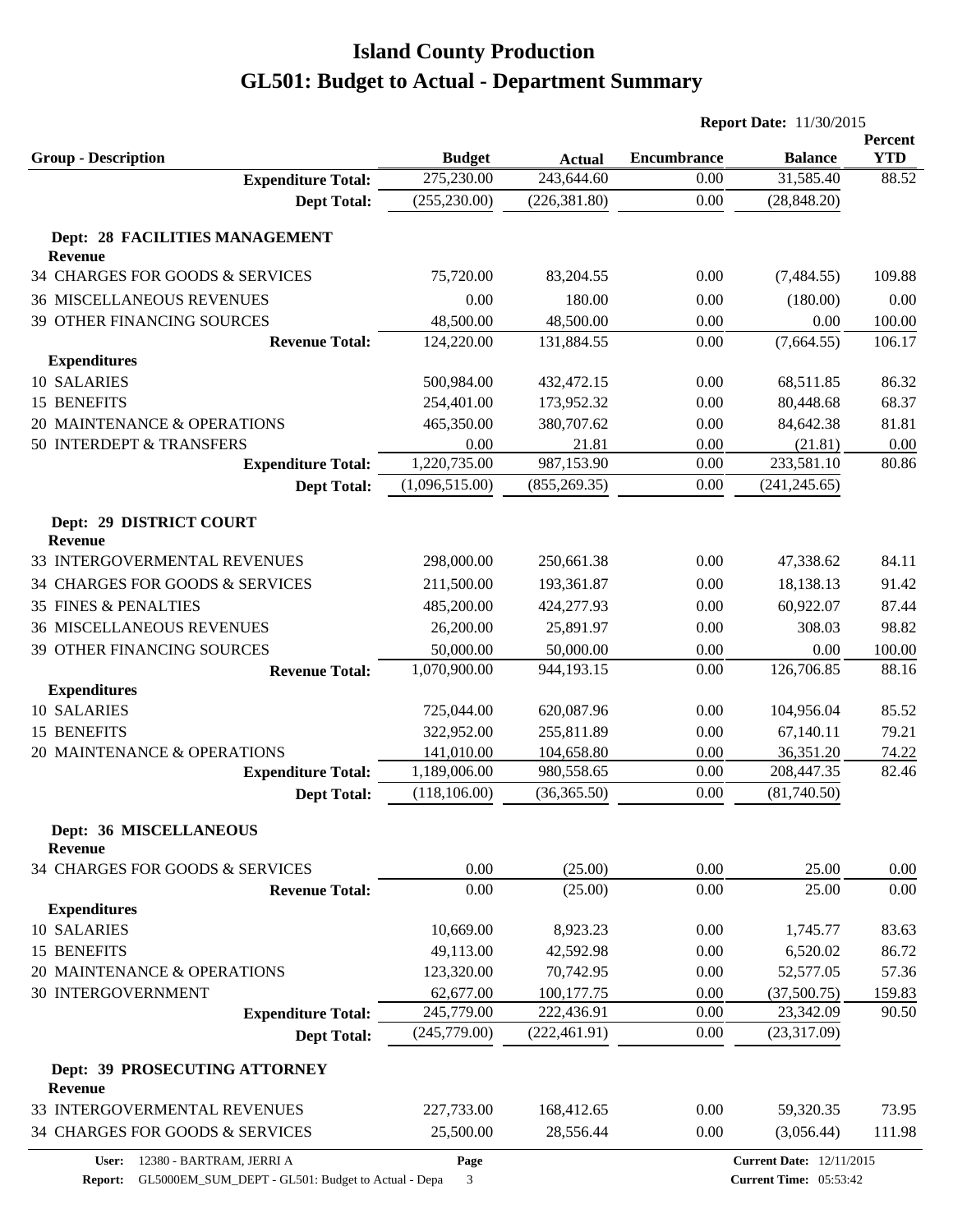|                                                  |                         |                         | <b>Report Date: 11/30/2015</b> |                                 |                       |
|--------------------------------------------------|-------------------------|-------------------------|--------------------------------|---------------------------------|-----------------------|
| <b>Group - Description</b>                       | <b>Budget</b>           | <b>Actual</b>           | <b>Encumbrance</b>             | <b>Balance</b>                  | Percent<br><b>YTD</b> |
| <b>Expenditure Total:</b>                        | 275,230.00              | 243,644.60              | 0.00                           | 31,585.40                       | 88.52                 |
| <b>Dept Total:</b>                               | (255, 230.00)           | (226, 381.80)           | 0.00                           | (28, 848.20)                    |                       |
|                                                  |                         |                         |                                |                                 |                       |
| Dept: 28 FACILITIES MANAGEMENT<br><b>Revenue</b> |                         |                         |                                |                                 |                       |
| 34 CHARGES FOR GOODS & SERVICES                  | 75,720.00               | 83,204.55               | 0.00                           | (7,484.55)                      | 109.88                |
| <b>36 MISCELLANEOUS REVENUES</b>                 | 0.00                    | 180.00                  | 0.00                           | (180.00)                        | 0.00                  |
| <b>39 OTHER FINANCING SOURCES</b>                |                         |                         |                                |                                 |                       |
| <b>Revenue Total:</b>                            | 48,500.00<br>124,220.00 | 48,500.00<br>131,884.55 | 0.00<br>0.00                   | 0.00<br>(7,664.55)              | 100.00<br>106.17      |
| <b>Expenditures</b>                              |                         |                         |                                |                                 |                       |
| 10 SALARIES                                      | 500,984.00              | 432,472.15              | 0.00                           | 68,511.85                       | 86.32                 |
| 15 BENEFITS                                      | 254,401.00              | 173,952.32              | 0.00                           | 80,448.68                       | 68.37                 |
| 20 MAINTENANCE & OPERATIONS                      | 465,350.00              | 380,707.62              | 0.00                           | 84,642.38                       | 81.81                 |
| 50 INTERDEPT & TRANSFERS                         | 0.00                    | 21.81                   | 0.00                           | (21.81)                         | 0.00                  |
| <b>Expenditure Total:</b>                        | 1,220,735.00            | 987,153.90              | 0.00                           | 233,581.10                      | 80.86                 |
| <b>Dept Total:</b>                               | (1,096,515.00)          | (855, 269.35)           | 0.00                           | (241, 245.65)                   |                       |
| Dept: 29 DISTRICT COURT                          |                         |                         |                                |                                 |                       |
| <b>Revenue</b>                                   |                         |                         |                                |                                 |                       |
| 33 INTERGOVERMENTAL REVENUES                     | 298,000.00              | 250,661.38              | 0.00                           | 47,338.62                       | 84.11                 |
| 34 CHARGES FOR GOODS & SERVICES                  | 211,500.00              | 193,361.87              | 0.00                           | 18,138.13                       | 91.42                 |
| <b>35 FINES &amp; PENALTIES</b>                  | 485,200.00              | 424,277.93              | 0.00                           | 60,922.07                       | 87.44                 |
| <b>36 MISCELLANEOUS REVENUES</b>                 | 26,200.00               | 25,891.97               | 0.00                           | 308.03                          | 98.82                 |
| 39 OTHER FINANCING SOURCES                       | 50,000.00               | 50,000.00               | 0.00                           | 0.00                            | 100.00                |
| <b>Revenue Total:</b>                            | 1,070,900.00            | 944,193.15              | 0.00                           | 126,706.85                      | 88.16                 |
| <b>Expenditures</b>                              |                         |                         |                                |                                 |                       |
| 10 SALARIES                                      | 725,044.00              | 620,087.96              | 0.00                           | 104,956.04                      | 85.52                 |
| 15 BENEFITS                                      | 322,952.00              | 255,811.89              | 0.00                           | 67,140.11                       | 79.21                 |
| 20 MAINTENANCE & OPERATIONS                      | 141,010.00              | 104,658.80              | 0.00                           | 36,351.20                       | 74.22                 |
| <b>Expenditure Total:</b>                        | 1,189,006.00            | 980,558.65              | 0.00                           | 208,447.35                      | 82.46                 |
| <b>Dept Total:</b>                               | (118, 106.00)           | (36, 365.50)            | 0.00                           | (81,740.50)                     |                       |
| Dept: 36 MISCELLANEOUS                           |                         |                         |                                |                                 |                       |
| <b>Revenue</b>                                   |                         |                         |                                |                                 |                       |
| 34 CHARGES FOR GOODS & SERVICES                  | 0.00                    | (25.00)                 | 0.00                           | 25.00                           | 0.00                  |
| <b>Revenue Total:</b>                            | 0.00                    | (25.00)                 | 0.00                           | 25.00                           | 0.00                  |
| <b>Expenditures</b>                              |                         |                         |                                |                                 |                       |
| 10 SALARIES                                      | 10,669.00               | 8,923.23                | 0.00                           | 1,745.77                        | 83.63                 |
| 15 BENEFITS                                      | 49,113.00               | 42,592.98               | 0.00                           | 6,520.02                        | 86.72                 |
| 20 MAINTENANCE & OPERATIONS                      | 123,320.00              | 70,742.95               | 0.00                           | 52,577.05                       | 57.36                 |
| <b>30 INTERGOVERNMENT</b>                        | 62,677.00               | 100,177.75              | 0.00                           | (37,500.75)                     | 159.83                |
| <b>Expenditure Total:</b>                        | 245,779.00              | 222,436.91              | $0.00\,$                       | 23,342.09                       | 90.50                 |
| <b>Dept Total:</b>                               | (245,779.00)            | (222, 461.91)           | 0.00                           | (23,317.09)                     |                       |
| Dept: 39 PROSECUTING ATTORNEY                    |                         |                         |                                |                                 |                       |
| <b>Revenue</b>                                   |                         |                         |                                |                                 |                       |
| 33 INTERGOVERMENTAL REVENUES                     | 227,733.00              | 168,412.65              | 0.00                           | 59,320.35                       | 73.95                 |
| 34 CHARGES FOR GOODS & SERVICES                  | 25,500.00               | 28,556.44               | 0.00                           | (3,056.44)                      | 111.98                |
| User: 12380 - BARTRAM, JERRI A                   | Page                    |                         |                                | <b>Current Date: 12/11/2015</b> |                       |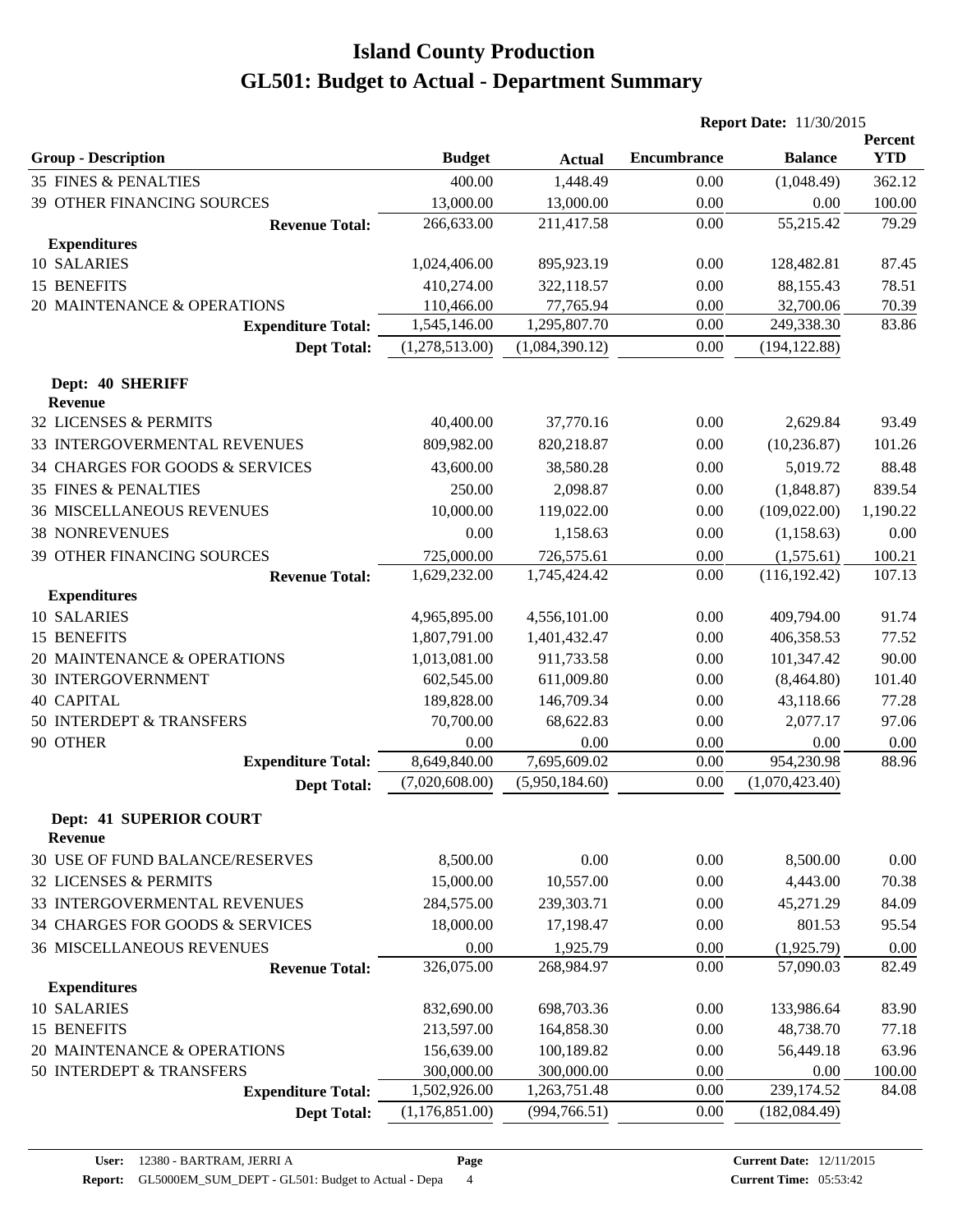|                                                  |                |                | <b>Report Date: 11/30/2015</b> |                |                       |  |
|--------------------------------------------------|----------------|----------------|--------------------------------|----------------|-----------------------|--|
| <b>Group - Description</b>                       | <b>Budget</b>  | <b>Actual</b>  | <b>Encumbrance</b>             | <b>Balance</b> | Percent<br><b>YTD</b> |  |
| <b>35 FINES &amp; PENALTIES</b>                  | 400.00         | 1,448.49       | 0.00                           | (1,048.49)     | 362.12                |  |
| <b>39 OTHER FINANCING SOURCES</b>                | 13,000.00      | 13,000.00      | 0.00                           | 0.00           | 100.00                |  |
| <b>Revenue Total:</b>                            | 266,633.00     | 211,417.58     | 0.00                           | 55,215.42      | 79.29                 |  |
| <b>Expenditures</b>                              |                |                |                                |                |                       |  |
| 10 SALARIES                                      | 1,024,406.00   | 895,923.19     | 0.00                           | 128,482.81     | 87.45                 |  |
| 15 BENEFITS                                      | 410,274.00     | 322,118.57     | 0.00                           | 88,155.43      | 78.51                 |  |
| 20 MAINTENANCE & OPERATIONS                      | 110,466.00     | 77,765.94      | 0.00                           | 32,700.06      | 70.39                 |  |
| <b>Expenditure Total:</b>                        | 1,545,146.00   | 1,295,807.70   | 0.00                           | 249,338.30     | 83.86                 |  |
| <b>Dept Total:</b>                               | (1,278,513.00) | (1,084,390.12) | 0.00                           | (194, 122.88)  |                       |  |
| Dept: 40 SHERIFF<br><b>Revenue</b>               |                |                |                                |                |                       |  |
| 32 LICENSES & PERMITS                            | 40,400.00      | 37,770.16      | 0.00                           | 2,629.84       | 93.49                 |  |
| 33 INTERGOVERMENTAL REVENUES                     | 809,982.00     | 820,218.87     | 0.00                           | (10, 236.87)   | 101.26                |  |
| 34 CHARGES FOR GOODS & SERVICES                  | 43,600.00      | 38,580.28      | 0.00                           | 5,019.72       | 88.48                 |  |
| 35 FINES & PENALTIES                             | 250.00         | 2,098.87       | 0.00                           | (1,848.87)     | 839.54                |  |
| <b>36 MISCELLANEOUS REVENUES</b>                 | 10,000.00      | 119,022.00     | 0.00                           | (109, 022.00)  | 1,190.22              |  |
| <b>38 NONREVENUES</b>                            | 0.00           | 1,158.63       | 0.00                           | (1, 158.63)    | 0.00                  |  |
| <b>39 OTHER FINANCING SOURCES</b>                | 725,000.00     | 726,575.61     | 0.00                           | (1,575.61)     | 100.21                |  |
| <b>Revenue Total:</b>                            | 1,629,232.00   | 1,745,424.42   | 0.00                           | (116, 192.42)  | 107.13                |  |
| <b>Expenditures</b>                              |                |                |                                |                |                       |  |
| 10 SALARIES                                      | 4,965,895.00   | 4,556,101.00   | 0.00                           | 409,794.00     | 91.74                 |  |
| 15 BENEFITS                                      | 1,807,791.00   | 1,401,432.47   | 0.00                           | 406,358.53     | 77.52                 |  |
| 20 MAINTENANCE & OPERATIONS                      | 1,013,081.00   | 911,733.58     | 0.00                           | 101,347.42     | 90.00                 |  |
| <b>30 INTERGOVERNMENT</b>                        | 602,545.00     | 611,009.80     | 0.00                           | (8,464.80)     | 101.40                |  |
| <b>40 CAPITAL</b>                                | 189,828.00     | 146,709.34     | 0.00                           | 43,118.66      | 77.28                 |  |
| 50 INTERDEPT & TRANSFERS                         | 70,700.00      | 68,622.83      | 0.00                           | 2,077.17       | 97.06                 |  |
| 90 OTHER                                         | 0.00           | 0.00           | 0.00                           | 0.00           | 0.00                  |  |
| <b>Expenditure Total:</b>                        | 8,649,840.00   | 7,695,609.02   | 0.00                           | 954,230.98     | 88.96                 |  |
| <b>Dept Total:</b>                               | (7,020,608.00) | (5,950,184.60) | 0.00                           | (1,070,423.40) |                       |  |
| <b>Dept: 41 SUPERIOR COURT</b><br><b>Revenue</b> |                |                |                                |                |                       |  |
| <b>30 USE OF FUND BALANCE/RESERVES</b>           | 8,500.00       | 0.00           | 0.00                           | 8,500.00       | 0.00                  |  |
| 32 LICENSES & PERMITS                            | 15,000.00      | 10,557.00      | 0.00                           | 4,443.00       | 70.38                 |  |
| 33 INTERGOVERMENTAL REVENUES                     | 284,575.00     | 239,303.71     | 0.00                           | 45,271.29      | 84.09                 |  |
| 34 CHARGES FOR GOODS & SERVICES                  | 18,000.00      | 17,198.47      | 0.00                           | 801.53         | 95.54                 |  |
| <b>36 MISCELLANEOUS REVENUES</b>                 | 0.00           | 1,925.79       | 0.00                           | (1,925.79)     | 0.00                  |  |
| <b>Revenue Total:</b>                            | 326,075.00     | 268,984.97     | 0.00                           | 57,090.03      | 82.49                 |  |
| <b>Expenditures</b>                              |                |                |                                |                |                       |  |
| 10 SALARIES                                      | 832,690.00     | 698,703.36     | 0.00                           | 133,986.64     | 83.90                 |  |
| 15 BENEFITS                                      | 213,597.00     | 164,858.30     | 0.00                           | 48,738.70      | 77.18                 |  |
| 20 MAINTENANCE & OPERATIONS                      | 156,639.00     | 100,189.82     | 0.00                           | 56,449.18      | 63.96                 |  |
| 50 INTERDEPT & TRANSFERS                         | 300,000.00     | 300,000.00     | 0.00                           | 0.00           | 100.00                |  |
| <b>Expenditure Total:</b>                        | 1,502,926.00   | 1,263,751.48   | 0.00                           | 239,174.52     | 84.08                 |  |
| <b>Dept Total:</b>                               | (1,176,851.00) | (994,766.51)   | 0.00                           | (182, 084.49)  |                       |  |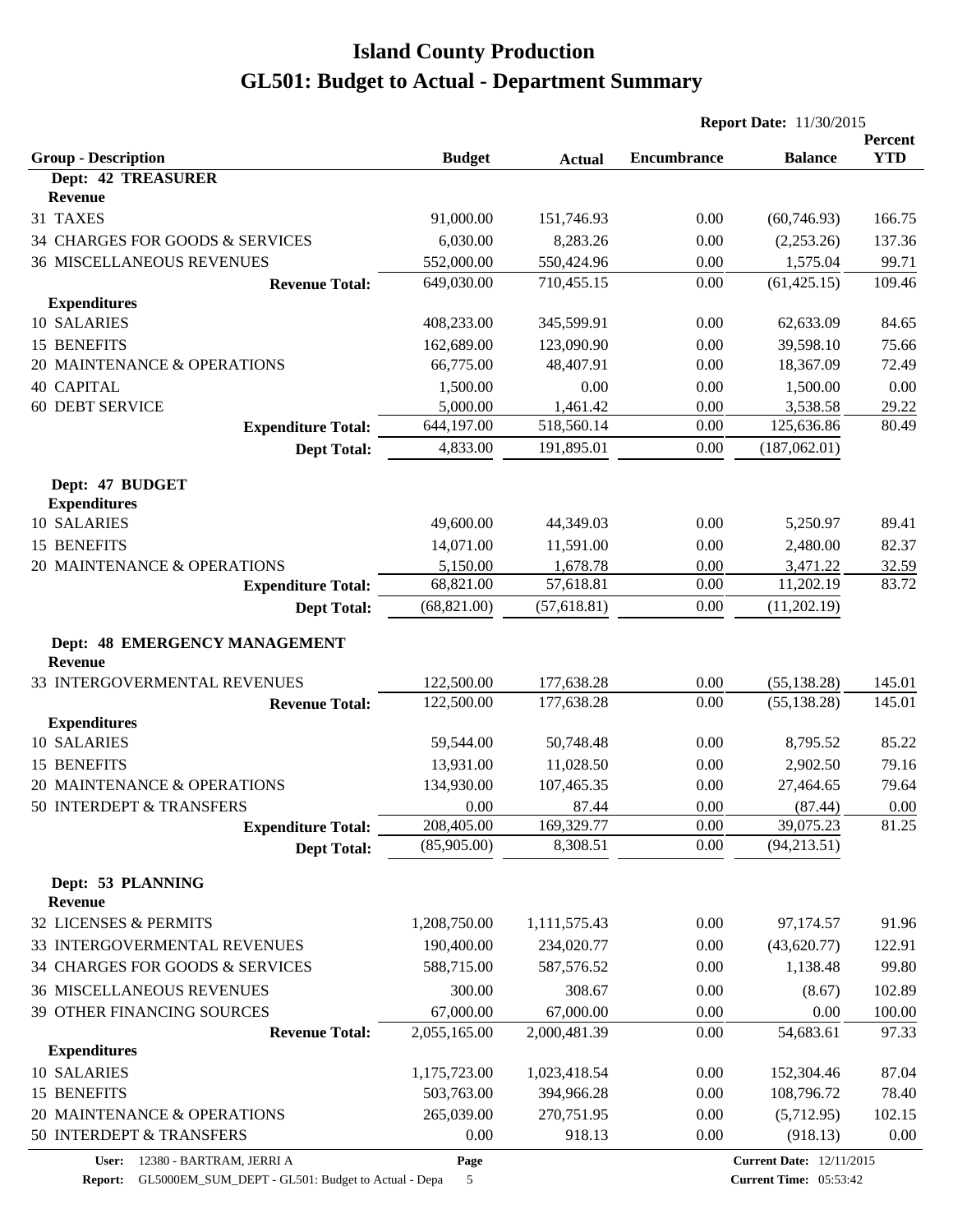|                                                          |                       |                       | <b>Report Date: 11/30/2015</b> |                       |                       |  |
|----------------------------------------------------------|-----------------------|-----------------------|--------------------------------|-----------------------|-----------------------|--|
| <b>Group - Description</b>                               | <b>Budget</b>         | <b>Actual</b>         | <b>Encumbrance</b>             | <b>Balance</b>        | Percent<br><b>YTD</b> |  |
| <b>Dept: 42 TREASURER</b>                                |                       |                       |                                |                       |                       |  |
| <b>Revenue</b>                                           |                       |                       |                                |                       |                       |  |
| 31 TAXES                                                 | 91,000.00             | 151,746.93            | 0.00                           | (60, 746.93)          | 166.75                |  |
| 34 CHARGES FOR GOODS & SERVICES                          | 6,030.00              | 8,283.26              | 0.00                           | (2,253.26)            | 137.36                |  |
| <b>36 MISCELLANEOUS REVENUES</b>                         | 552,000.00            | 550,424.96            | 0.00                           | 1,575.04              | 99.71                 |  |
| <b>Revenue Total:</b>                                    | 649,030.00            | 710,455.15            | 0.00                           | (61, 425.15)          | 109.46                |  |
| <b>Expenditures</b>                                      |                       |                       |                                |                       |                       |  |
| 10 SALARIES                                              | 408,233.00            | 345,599.91            | 0.00                           | 62,633.09             | 84.65                 |  |
| 15 BENEFITS                                              | 162,689.00            | 123,090.90            | 0.00                           | 39,598.10             | 75.66                 |  |
| 20 MAINTENANCE & OPERATIONS                              | 66,775.00             | 48,407.91             | 0.00                           | 18,367.09             | 72.49                 |  |
| <b>40 CAPITAL</b>                                        | 1,500.00              | 0.00                  | 0.00                           | 1,500.00              | 0.00                  |  |
| <b>60 DEBT SERVICE</b>                                   | 5,000.00              | 1,461.42              | 0.00                           | 3,538.58              | 29.22                 |  |
| <b>Expenditure Total:</b>                                | 644,197.00            | 518,560.14            | 0.00                           | 125,636.86            | 80.49                 |  |
| <b>Dept Total:</b>                                       | 4,833.00              | 191,895.01            | 0.00                           | (187,062.01)          |                       |  |
| Dept: 47 BUDGET                                          |                       |                       |                                |                       |                       |  |
| <b>Expenditures</b><br>10 SALARIES                       | 49,600.00             |                       | 0.00                           | 5,250.97              | 89.41                 |  |
| 15 BENEFITS                                              |                       | 44,349.03             |                                |                       |                       |  |
|                                                          | 14,071.00             | 11,591.00             | 0.00                           | 2,480.00              | 82.37                 |  |
| 20 MAINTENANCE & OPERATIONS<br><b>Expenditure Total:</b> | 5,150.00<br>68,821.00 | 1,678.78<br>57,618.81 | 0.00<br>0.00                   | 3,471.22<br>11,202.19 | 32.59<br>83.72        |  |
|                                                          | (68, 821.00)          | (57, 618.81)          | 0.00                           | (11,202.19)           |                       |  |
| <b>Dept Total:</b>                                       |                       |                       |                                |                       |                       |  |
| <b>Dept: 48 EMERGENCY MANAGEMENT</b><br><b>Revenue</b>   |                       |                       |                                |                       |                       |  |
| 33 INTERGOVERMENTAL REVENUES                             | 122,500.00            | 177,638.28            | 0.00                           | (55, 138.28)          | 145.01                |  |
| <b>Revenue Total:</b>                                    | 122,500.00            | 177,638.28            | 0.00                           | (55, 138.28)          | 145.01                |  |
| <b>Expenditures</b>                                      |                       |                       |                                |                       |                       |  |
| 10 SALARIES                                              | 59,544.00             | 50,748.48             | 0.00                           | 8,795.52              | 85.22                 |  |
| 15 BENEFITS                                              | 13,931.00             | 11,028.50             | 0.00                           | 2,902.50              | 79.16                 |  |
| 20 MAINTENANCE & OPERATIONS                              | 134,930.00            | 107,465.35            | 0.00                           | 27,464.65             | 79.64                 |  |
| 50 INTERDEPT & TRANSFERS                                 | 0.00                  | 87.44                 | 0.00                           | (87.44)               | 0.00                  |  |
| <b>Expenditure Total:</b>                                | 208,405.00            | 169,329.77            | 0.00                           | 39,075.23             | 81.25                 |  |
| <b>Dept Total:</b>                                       | (85,905.00)           | 8,308.51              | 0.00                           | (94, 213.51)          |                       |  |
| Dept: 53 PLANNING                                        |                       |                       |                                |                       |                       |  |
| <b>Revenue</b>                                           |                       |                       |                                |                       |                       |  |
| 32 LICENSES & PERMITS                                    | 1,208,750.00          | 1,111,575.43          | 0.00                           | 97,174.57             | 91.96                 |  |
| 33 INTERGOVERMENTAL REVENUES                             | 190,400.00            | 234,020.77            | 0.00                           | (43,620.77)           | 122.91                |  |
| 34 CHARGES FOR GOODS & SERVICES                          | 588,715.00            | 587,576.52            | 0.00                           | 1,138.48              | 99.80                 |  |
| <b>36 MISCELLANEOUS REVENUES</b>                         | 300.00                | 308.67                | 0.00                           | (8.67)                | 102.89                |  |
| 39 OTHER FINANCING SOURCES                               | 67,000.00             | 67,000.00             | 0.00                           | 0.00                  | 100.00                |  |
| <b>Revenue Total:</b>                                    | 2,055,165.00          | 2,000,481.39          | 0.00                           | 54,683.61             | 97.33                 |  |
| <b>Expenditures</b>                                      |                       |                       |                                |                       |                       |  |
| 10 SALARIES                                              | 1,175,723.00          | 1,023,418.54          | 0.00                           | 152,304.46            | 87.04                 |  |
| 15 BENEFITS                                              | 503,763.00            | 394,966.28            | 0.00                           | 108,796.72            | 78.40                 |  |
| 20 MAINTENANCE & OPERATIONS                              | 265,039.00            | 270,751.95            | 0.00                           | (5,712.95)            | 102.15                |  |
| 50 INTERDEPT & TRANSFERS                                 | 0.00                  | 918.13                | $0.00\,$                       | (918.13)              | 0.00                  |  |
|                                                          |                       |                       |                                |                       |                       |  |

**Report:** GL5000EM\_SUM\_DEPT - GL501: Budget to Actual - Depa 5

**Page**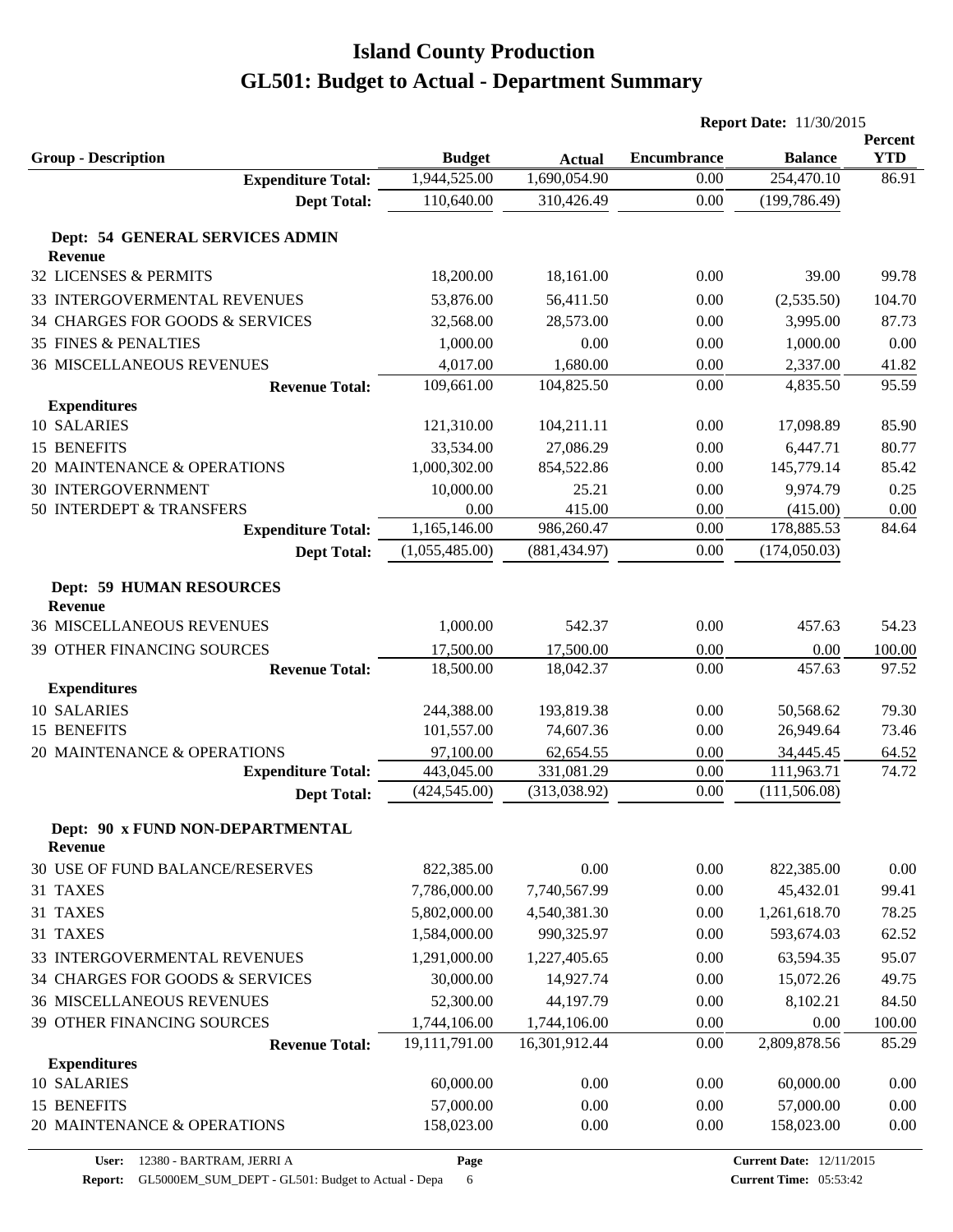|                                                   |                        |                        | <b>Report Date: 11/30/2015</b> |                |                       |
|---------------------------------------------------|------------------------|------------------------|--------------------------------|----------------|-----------------------|
| <b>Group - Description</b>                        | <b>Budget</b>          | <b>Actual</b>          | <b>Encumbrance</b>             | <b>Balance</b> | Percent<br><b>YTD</b> |
| <b>Expenditure Total:</b>                         | 1,944,525.00           | 1,690,054.90           | 0.00                           | 254,470.10     | 86.91                 |
| <b>Dept Total:</b>                                | 110,640.00             | 310,426.49             | 0.00                           | (199, 786.49)  |                       |
| Dept: 54 GENERAL SERVICES ADMIN                   |                        |                        |                                |                |                       |
| <b>Revenue</b>                                    |                        |                        |                                |                |                       |
| 32 LICENSES & PERMITS                             | 18,200.00              | 18,161.00              | 0.00                           | 39.00          | 99.78                 |
| 33 INTERGOVERMENTAL REVENUES                      | 53,876.00              | 56,411.50              | 0.00                           | (2,535.50)     | 104.70                |
| 34 CHARGES FOR GOODS & SERVICES                   | 32,568.00              | 28,573.00              | 0.00                           | 3,995.00       | 87.73                 |
| <b>35 FINES &amp; PENALTIES</b>                   | 1,000.00               | 0.00                   | 0.00                           | 1,000.00       | 0.00                  |
| <b>36 MISCELLANEOUS REVENUES</b>                  | 4,017.00               | 1,680.00               | 0.00                           | 2,337.00       | 41.82                 |
| <b>Revenue Total:</b>                             | 109,661.00             | 104,825.50             | 0.00                           | 4,835.50       | 95.59                 |
| <b>Expenditures</b>                               |                        |                        |                                |                |                       |
| 10 SALARIES                                       | 121,310.00             | 104,211.11             | 0.00                           | 17,098.89      | 85.90                 |
| <b>15 BENEFITS</b>                                | 33,534.00              | 27,086.29              | 0.00                           | 6,447.71       | 80.77                 |
| 20 MAINTENANCE & OPERATIONS                       | 1,000,302.00           | 854,522.86             | 0.00                           | 145,779.14     | 85.42                 |
| <b>30 INTERGOVERNMENT</b>                         | 10,000.00              | 25.21                  | 0.00                           | 9,974.79       | 0.25                  |
| 50 INTERDEPT & TRANSFERS                          | 0.00                   | 415.00                 | 0.00                           | (415.00)       | 0.00                  |
| <b>Expenditure Total:</b>                         | 1,165,146.00           | 986,260.47             | 0.00                           | 178,885.53     | 84.64                 |
| <b>Dept Total:</b>                                | (1,055,485.00)         | (881, 434.97)          | 0.00                           | (174,050.03)   |                       |
| <b>Dept: 59 HUMAN RESOURCES</b><br><b>Revenue</b> |                        |                        |                                |                |                       |
| <b>36 MISCELLANEOUS REVENUES</b>                  | 1,000.00               | 542.37                 | 0.00                           | 457.63         | 54.23                 |
|                                                   |                        |                        |                                |                |                       |
| 39 OTHER FINANCING SOURCES                        | 17,500.00<br>18,500.00 | 17,500.00<br>18,042.37 | 0.00<br>0.00                   | 0.00<br>457.63 | 100.00<br>97.52       |
| <b>Revenue Total:</b><br><b>Expenditures</b>      |                        |                        |                                |                |                       |
| 10 SALARIES                                       | 244,388.00             | 193,819.38             | 0.00                           | 50,568.62      | 79.30                 |
| 15 BENEFITS                                       | 101,557.00             | 74,607.36              | 0.00                           | 26,949.64      | 73.46                 |
| 20 MAINTENANCE & OPERATIONS                       | 97,100.00              | 62,654.55              | 0.00                           | 34,445.45      | 64.52                 |
| <b>Expenditure Total:</b>                         | 443,045.00             | 331,081.29             | 0.00                           | 111,963.71     | 74.72                 |
| <b>Dept Total:</b>                                | (424, 545.00)          | (313,038.92)           | 0.00                           | (111, 506.08)  |                       |
| Dept: 90 x FUND NON-DEPARTMENTAL                  |                        |                        |                                |                |                       |
| <b>Revenue</b>                                    |                        |                        |                                |                |                       |
| 30 USE OF FUND BALANCE/RESERVES                   | 822,385.00             | 0.00                   | 0.00                           | 822,385.00     | 0.00                  |
| 31 TAXES                                          | 7,786,000.00           | 7,740,567.99           | 0.00                           | 45,432.01      | 99.41                 |
| 31 TAXES                                          | 5,802,000.00           | 4,540,381.30           | 0.00                           | 1,261,618.70   | 78.25                 |
| 31 TAXES                                          | 1,584,000.00           | 990,325.97             | 0.00                           | 593,674.03     | 62.52                 |
| 33 INTERGOVERMENTAL REVENUES                      | 1,291,000.00           | 1,227,405.65           | 0.00                           | 63,594.35      | 95.07                 |
| 34 CHARGES FOR GOODS & SERVICES                   | 30,000.00              | 14,927.74              | 0.00                           | 15,072.26      | 49.75                 |
| <b>36 MISCELLANEOUS REVENUES</b>                  | 52,300.00              | 44,197.79              | 0.00                           | 8,102.21       | 84.50                 |
| 39 OTHER FINANCING SOURCES                        | 1,744,106.00           | 1,744,106.00           | 0.00                           | 0.00           | 100.00                |
| <b>Revenue Total:</b>                             | 19,111,791.00          | 16,301,912.44          | 0.00                           | 2,809,878.56   | 85.29                 |
| <b>Expenditures</b>                               |                        |                        |                                |                |                       |
| 10 SALARIES                                       | 60,000.00              | 0.00                   | 0.00                           | 60,000.00      | 0.00                  |
| 15 BENEFITS                                       | 57,000.00              | 0.00                   | 0.00                           | 57,000.00      | 0.00                  |
| 20 MAINTENANCE & OPERATIONS                       | 158,023.00             | 0.00                   | 0.00                           | 158,023.00     | 0.00                  |
|                                                   |                        |                        |                                |                |                       |

**Page**